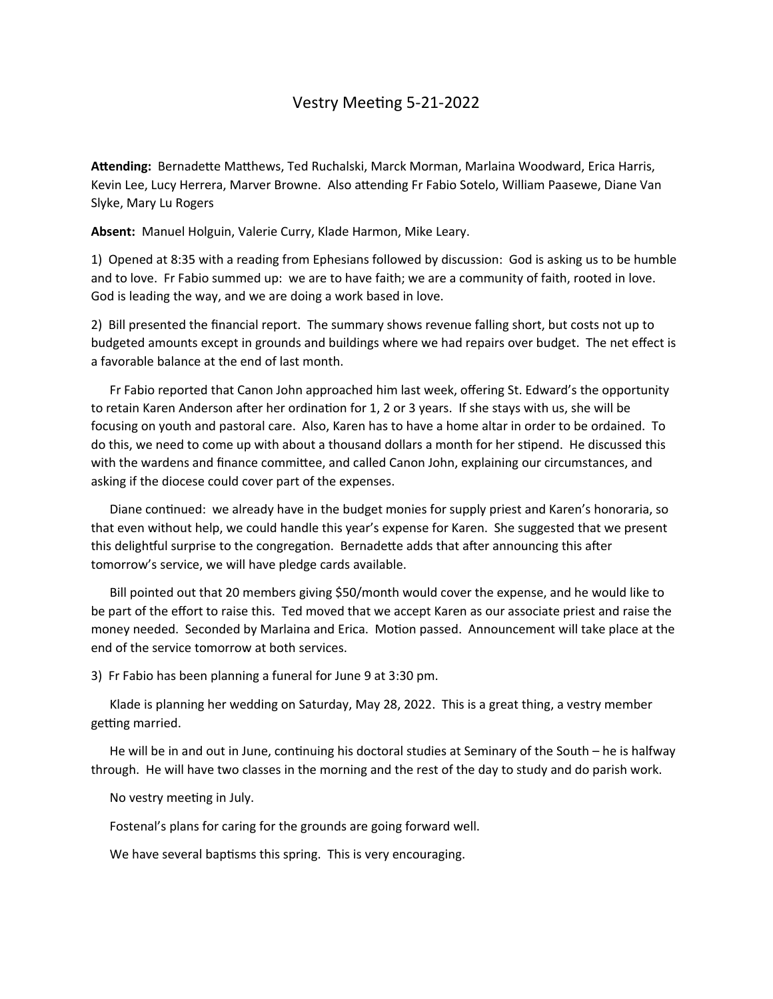## Vestry Meeting 5-21-2022

**Attending:** Bernadette Matthews, Ted Ruchalski, Marck Morman, Marlaina Woodward, Erica Harris, Kevin Lee, Lucy Herrera, Marver Browne. Also attending Fr Fabio Sotelo, William Paasewe, Diane Van Slyke, Mary Lu Rogers

**Absent:** Manuel Holguin, Valerie Curry, Klade Harmon, Mike Leary.

1) Opened at 8:35 with a reading from Ephesians followed by discussion: God is asking us to be humble and to love. Fr Fabio summed up: we are to have faith; we are a community of faith, rooted in love. God is leading the way, and we are doing a work based in love.

2) Bill presented the financial report. The summary shows revenue falling short, but costs not up to budgeted amounts except in grounds and buildings where we had repairs over budget. The net effect is a favorable balance at the end of last month.

 Fr Fabio reported that Canon John approached him last week, offering St. Edward's the opportunity to retain Karen Anderson after her ordination for 1, 2 or 3 years. If she stays with us, she will be focusing on youth and pastoral care. Also, Karen has to have a home altar in order to be ordained. To do this, we need to come up with about a thousand dollars a month for her stipend. He discussed this with the wardens and finance committee, and called Canon John, explaining our circumstances, and asking if the diocese could cover part of the expenses.

 Diane continued: we already have in the budget monies for supply priest and Karen's honoraria, so that even without help, we could handle this year's expense for Karen. She suggested that we present this delightful surprise to the congregation. Bernadette adds that after announcing this after tomorrow's service, we will have pledge cards available.

 Bill pointed out that 20 members giving \$50/month would cover the expense, and he would like to be part of the effort to raise this. Ted moved that we accept Karen as our associate priest and raise the money needed. Seconded by Marlaina and Erica. Motion passed. Announcement will take place at the end of the service tomorrow at both services.

3) Fr Fabio has been planning a funeral for June 9 at 3:30 pm.

 Klade is planning her wedding on Saturday, May 28, 2022. This is a great thing, a vestry member getting married.

 He will be in and out in June, continuing his doctoral studies at Seminary of the South – he is halfway through. He will have two classes in the morning and the rest of the day to study and do parish work.

No vestry meeting in July.

Fostenal's plans for caring for the grounds are going forward well.

We have several baptisms this spring. This is very encouraging.